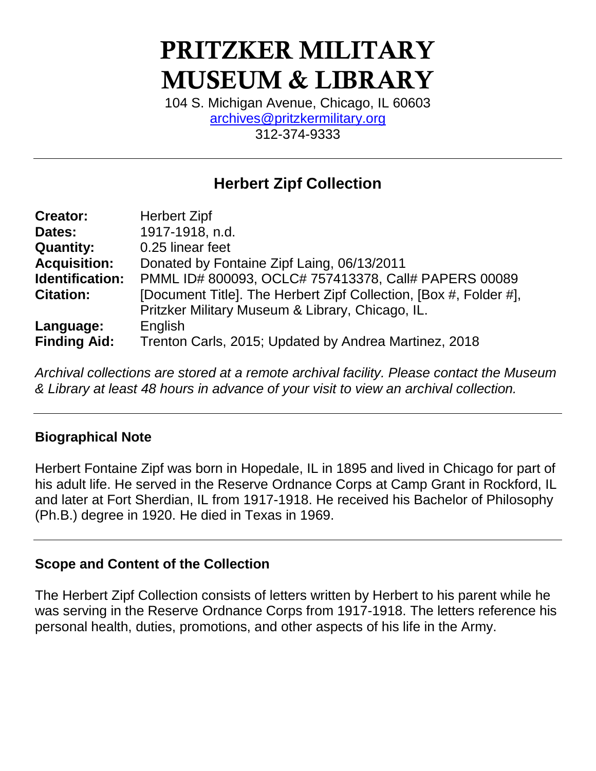# PRITZKER MILITARY MUSEUM & LIBRARY

104 S. Michigan Avenue, Chicago, IL 60603 [archives@pritzkermilitary.org](mailto:archives@pritzkermilitary.org) 312-374-9333

## **Herbert Zipf Collection**

| <b>Creator:</b>     | <b>Herbert Zipf</b>                                               |
|---------------------|-------------------------------------------------------------------|
| Dates:              | 1917-1918, n.d.                                                   |
| <b>Quantity:</b>    | 0.25 linear feet                                                  |
| <b>Acquisition:</b> | Donated by Fontaine Zipf Laing, 06/13/2011                        |
| Identification:     | PMML ID# 800093, OCLC# 757413378, Call# PAPERS 00089              |
| <b>Citation:</b>    | [Document Title]. The Herbert Zipf Collection, [Box #, Folder #], |
|                     | Pritzker Military Museum & Library, Chicago, IL.                  |
| Language:           | English                                                           |
| <b>Finding Aid:</b> | Trenton Carls, 2015; Updated by Andrea Martinez, 2018             |

*Archival collections are stored at a remote archival facility. Please contact the Museum & Library at least 48 hours in advance of your visit to view an archival collection.*

## **Biographical Note**

Herbert Fontaine Zipf was born in Hopedale, IL in 1895 and lived in Chicago for part of his adult life. He served in the Reserve Ordnance Corps at Camp Grant in Rockford, IL and later at Fort Sherdian, IL from 1917-1918. He received his Bachelor of Philosophy (Ph.B.) degree in 1920. He died in Texas in 1969.

### **Scope and Content of the Collection**

The Herbert Zipf Collection consists of letters written by Herbert to his parent while he was serving in the Reserve Ordnance Corps from 1917-1918. The letters reference his personal health, duties, promotions, and other aspects of his life in the Army.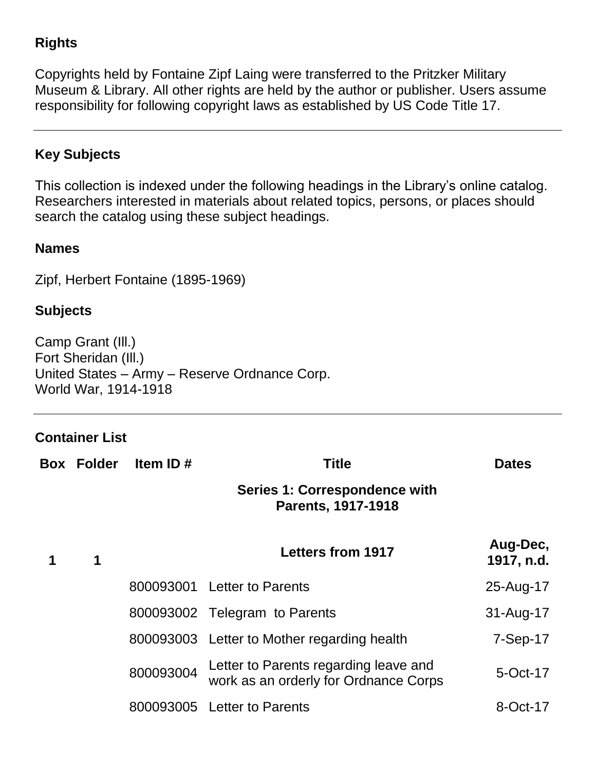## **Rights**

Copyrights held by Fontaine Zipf Laing were transferred to the Pritzker Military Museum & Library. All other rights are held by the author or publisher. Users assume responsibility for following copyright laws as established by US Code Title 17.

## **Key Subjects**

This collection is indexed under the following headings in the Library's online catalog. Researchers interested in materials about related topics, persons, or places should search the catalog using these subject headings.

#### **Names**

Zipf, Herbert Fontaine (1895-1969)

#### **Subjects**

Camp Grant (Ill.) Fort Sheridan (Ill.) United States – Army – Reserve Ordnance Corp. World War, 1914-1918

### **Container List**

| <b>Box Folder</b> | Item ID#  | <b>Title</b>                                                                   | <b>Dates</b>           |
|-------------------|-----------|--------------------------------------------------------------------------------|------------------------|
|                   |           | <b>Series 1: Correspondence with</b><br><b>Parents, 1917-1918</b>              |                        |
| 1                 |           | <b>Letters from 1917</b>                                                       | Aug-Dec,<br>1917, n.d. |
|                   |           | 800093001 Letter to Parents                                                    | 25-Aug-17              |
|                   |           | 800093002 Telegram to Parents                                                  | 31-Aug-17              |
|                   |           | 800093003 Letter to Mother regarding health                                    | $7-Sep-17$             |
|                   | 800093004 | Letter to Parents regarding leave and<br>work as an orderly for Ordnance Corps | 5-Oct-17               |
|                   |           | 800093005 Letter to Parents                                                    | 8-Oct-17               |